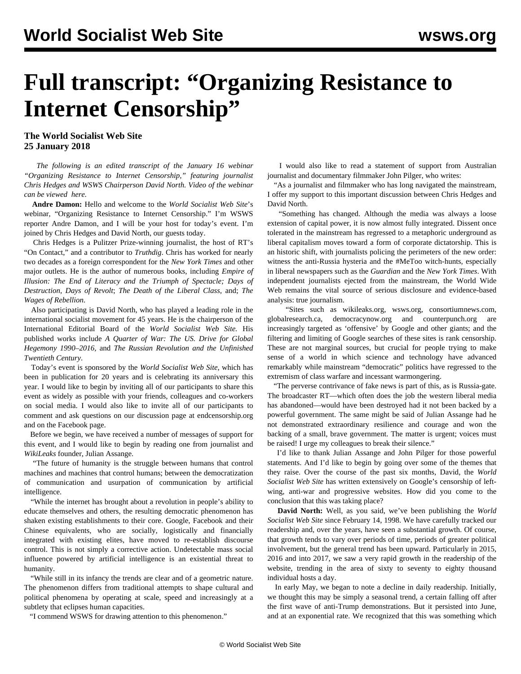## **Full transcript: "Organizing Resistance to Internet Censorship"**

**The World Socialist Web Site 25 January 2018**

 *The following is an edited transcript of the January 16 webinar "Organizing Resistance to Internet Censorship," featuring journalist Chris Hedges and WSWS Chairperson David North. Video of the webinar can be viewed [here.](/endcensorship)*

 **Andre Damon:** Hello and welcome to the *World Socialist Web Site*'s webinar, "Organizing Resistance to Internet Censorship." I'm WSWS reporter Andre Damon, and I will be your host for today's event. I'm joined by Chris Hedges and David North, our guests today.

 Chris Hedges is a Pulitzer Prize-winning journalist, the host of RT's "On Contact," and a contributor to *Truthdig*. Chris has worked for nearly two decades as a foreign correspondent for the *New York Times* and other major outlets. He is the author of numerous books, including *Empire of Illusion: The End of Literacy and the Triumph of Spectacle; Days of Destruction, Days of Revolt*; *The Death of the Liberal Class,* and; *The Wages of Rebellion*.

 Also participating is David North, who has played a leading role in the international socialist movement for 45 years. He is the chairperson of the International Editorial Board of the *World Socialist Web Site.* His published works include *A Quarter of War: The US. Drive for Global Hegemony 1990–2016,* and *The Russian Revolution and the Unfinished Twentieth Century*.

 Today's event is sponsored by the *World Socialist Web Site*, which has been in publication for 20 years and is celebrating its anniversary this year. I would like to begin by inviting all of our participants to share this event as widely as possible with your friends, colleagues and co-workers on social media. I would also like to invite all of our participants to comment and ask questions on our discussion page at endcensorship.org and on the Facebook page.

 Before we begin, we have received a number of messages of support for this event, and I would like to begin by reading one from journalist and *WikiLeaks* founder, Julian Assange.

 "The future of humanity is the struggle between humans that control machines and machines that control humans; between the democratization of communication and usurpation of communication by artificial intelligence.

 "While the internet has brought about a revolution in people's ability to educate themselves and others, the resulting democratic phenomenon has shaken existing establishments to their core. Google, Facebook and their Chinese equivalents, who are socially, logistically and financially integrated with existing elites, have moved to re-establish discourse control. This is not simply a corrective action. Undetectable mass social influence powered by artificial intelligence is an existential threat to humanity.

 "While still in its infancy the trends are clear and of a geometric nature. The phenomenon differs from traditional attempts to shape cultural and political phenomena by operating at scale, speed and increasingly at a subtlety that eclipses human capacities.

"I commend WSWS for drawing attention to this phenomenon."

 I would also like to read a statement of support from Australian journalist and documentary filmmaker John Pilger, who writes:

 "As a journalist and filmmaker who has long navigated the mainstream, I offer my support to this important discussion between Chris Hedges and David North.

 "Something has changed. Although the media was always a loose extension of capital power, it is now almost fully integrated. Dissent once tolerated in the mainstream has regressed to a metaphoric underground as liberal capitalism moves toward a form of corporate dictatorship. This is an historic shift, with journalists policing the perimeters of the new order: witness the anti-Russia hysteria and the #MeToo witch-hunts, especially in liberal newspapers such as the *Guardian* and the *New York Times*. With independent journalists ejected from the mainstream, the World Wide Web remains the vital source of serious disclosure and evidence-based analysis: true journalism.

 "Sites such as wikileaks.org, wsws.org, consortiumnews.com, globalresearch.ca, democracynow.org and counterpunch.org are increasingly targeted as 'offensive' by Google and other giants; and the filtering and limiting of Google searches of these sites is rank censorship. These are not marginal sources, but crucial for people trying to make sense of a world in which science and technology have advanced remarkably while mainstream "democratic" politics have regressed to the extremism of class warfare and incessant warmongering.

 "The perverse contrivance of fake news is part of this, as is Russia-gate. The broadcaster RT—which often does the job the western liberal media has abandoned—would have been destroyed had it not been backed by a powerful government. The same might be said of Julian Assange had he not demonstrated extraordinary resilience and courage and won the backing of a small, brave government. The matter is urgent; voices must be raised! I urge my colleagues to break their silence."

 I'd like to thank Julian Assange and John Pilger for those powerful statements. And I'd like to begin by going over some of the themes that they raise. Over the course of the past six months, David, the *World Socialist Web Site* has written extensively on Google's censorship of leftwing, anti-war and progressive websites. How did you come to the conclusion that this was taking place?

 **David North:** Well, as you said, we've been publishing the *World Socialist Web Site* since February 14, 1998. We have carefully tracked our readership and, over the years, have seen a substantial growth. Of course, that growth tends to vary over periods of time, periods of greater political involvement, but the general trend has been upward. Particularly in 2015, 2016 and into 2017, we saw a very rapid growth in the readership of the website, trending in the area of sixty to seventy to eighty thousand individual hosts a day.

 In early May, we began to note a decline in daily readership. Initially, we thought this may be simply a seasonal trend, a certain falling off after the first wave of anti-Trump demonstrations. But it persisted into June, and at an exponential rate. We recognized that this was something which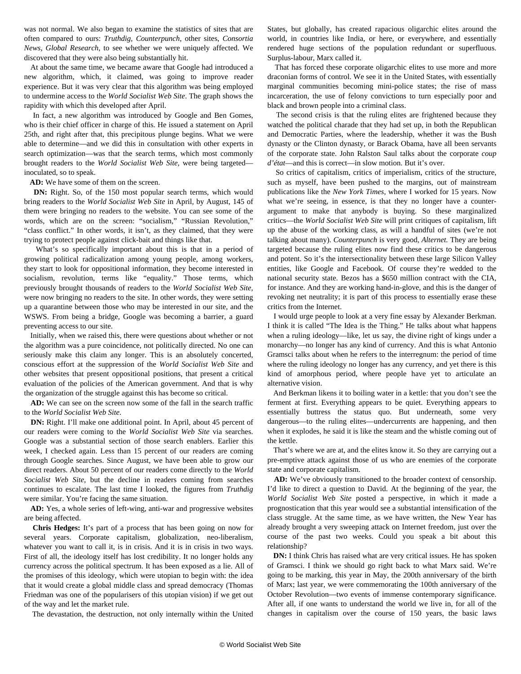was not normal. We also began to examine the statistics of sites that are often compared to ours: *Truthdig*, *Counterpunch*, other sites, *Consortia News*, *Global Research*, to see whether we were uniquely affected. We discovered that they were also being substantially hit.

 At about the same time, we became aware that Google had introduced a new algorithm, which, it claimed, was going to improve reader experience. But it was very clear that this algorithm was being employed to undermine access to the *World Socialist Web Site*. The graph shows the rapidity with which this developed after April.

 In fact, a new algorithm was introduced by Google and Ben Gomes, who is their chief officer in charge of this. He issued a statement on April 25th, and right after that, this precipitous plunge begins. What we were able to determine—and we did this in consultation with other experts in search optimization—was that the search terms, which most commonly brought readers to the *World Socialist Web Site*, were being targeted inoculated, so to speak.

**AD:** We have some of them on the screen.

 **DN:** Right. So, of the 150 most popular search terms, which would bring readers to the *World Socialist Web Site* in April, by August, 145 of them were bringing no readers to the website. You can see some of the words, which are on the screen: "socialism," "Russian Revolution," "class conflict." In other words, it isn't, as they claimed, that they were trying to protect people against click-bait and things like that.

 What's so specifically important about this is that in a period of growing political radicalization among young people, among workers, they start to look for oppositional information, they become interested in socialism, revolution, terms like "equality." Those terms, which previously brought thousands of readers to the *World Socialist Web Site,* were now bringing no readers to the site. In other words, they were setting up a quarantine between those who may be interested in our site, and the WSWS. From being a bridge, Google was becoming a barrier, a guard preventing access to our site.

 Initially, when we raised this, there were questions about whether or not the algorithm was a pure coincidence, not politically directed. No one can seriously make this claim any longer. This is an absolutely concerted, conscious effort at the suppression of the *World Socialist Web Site* and other websites that present oppositional positions, that present a critical evaluation of the policies of the American government. And that is why the organization of the struggle against this has become so critical.

 **AD:** We can see on the screen now some of the fall in the search traffic to the *World Socialist Web Site.*

 **DN:** Right. I'll make one additional point. In April, about 45 percent of our readers were coming to the *World Socialist Web Site* via searches. Google was a substantial section of those search enablers. Earlier this week, I checked again. Less than 15 percent of our readers are coming through Google searches. Since August, we have been able to grow our direct readers. About 50 percent of our readers come directly to the *World Socialist Web Site,* but the decline in readers coming from searches continues to escalate. The last time I looked, the figures from *Truthdig* were similar. You're facing the same situation.

 **AD:** Yes, a whole series of left-wing, anti-war and progressive websites are being affected.

 **Chris Hedges:** It's part of a process that has been going on now for several years. Corporate capitalism, globalization, neo-liberalism, whatever you want to call it, is in crisis. And it is in crisis in two ways. First of all, the ideology itself has lost credibility. It no longer holds any currency across the political spectrum. It has been exposed as a lie. All of the promises of this ideology, which were utopian to begin with: the idea that it would create a global middle class and spread democracy (Thomas Friedman was one of the popularisers of this utopian vision) if we get out of the way and let the market rule.

The devastation, the destruction, not only internally within the United

States, but globally, has created rapacious oligarchic elites around the world, in countries like India, or here, or everywhere, and essentially rendered huge sections of the population redundant or superfluous. Surplus-labour, Marx called it.

 That has forced these corporate oligarchic elites to use more and more draconian forms of control. We see it in the United States, with essentially marginal communities becoming mini-police states; the rise of mass incarceration, the use of felony convictions to turn especially poor and black and brown people into a criminal class.

 The second crisis is that the ruling elites are frightened because they watched the political charade that they had set up, in both the Republican and Democratic Parties, where the leadership, whether it was the Bush dynasty or the Clinton dynasty, or Barack Obama, have all been servants of the corporate state. John Ralston Saul talks about the corporate *coup d'état*—and this is correct—in slow motion. But it's over.

 So critics of capitalism, critics of imperialism, critics of the structure, such as myself, have been pushed to the margins, out of mainstream publications like the *New York Times*, where I worked for 15 years. Now what we're seeing, in essence, is that they no longer have a counterargument to make that anybody is buying. So these marginalized critics—the *World Socialist Web Site* will print critiques of capitalism, lift up the abuse of the working class, as will a handful of sites (we're not talking about many). *Counterpunch* is very good, *Alternet.* They are being targeted because the ruling elites now find these critics to be dangerous and potent. So it's the intersectionality between these large Silicon Valley entities, like Google and Facebook. Of course they're wedded to the national security state. Bezos has a \$650 million contract with the CIA, for instance. And they are working hand-in-glove, and this is the danger of revoking net neutrality; it is part of this process to essentially erase these critics from the Internet.

 I would urge people to look at a very fine essay by Alexander Berkman. I think it is called "The Idea is the Thing." He talks about what happens when a ruling ideology—like, let us say, the divine right of kings under a monarchy—no longer has any kind of currency. And this is what Antonio Gramsci talks about when he refers to the interregnum: the period of time where the ruling ideology no longer has any currency, and yet there is this kind of amorphous period, where people have yet to articulate an alternative vision.

 And Berkman likens it to boiling water in a kettle: that you don't see the ferment at first. Everything appears to be quiet. Everything appears to essentially buttress the status quo. But underneath, some very dangerous—to the ruling elites—undercurrents are happening, and then when it explodes, he said it is like the steam and the whistle coming out of the kettle.

 That's where we are at, and the elites know it. So they are carrying out a pre-emptive attack against those of us who are enemies of the corporate state and corporate capitalism.

 **AD:** We've obviously transitioned to the broader context of censorship. I'd like to direct a question to David. At the beginning of the year, the *World Socialist Web Site* posted a perspective, in which it made a prognostication that this year would see a substantial intensification of the class struggle. At the same time, as we have written, the New Year has already brought a very sweeping attack on Internet freedom, just over the course of the past two weeks. Could you speak a bit about this relationship?

**DN:** I think Chris has raised what are very critical issues. He has spoken of Gramsci. I think we should go right back to what Marx said. We're going to be marking, this year in May, the 200th anniversary of the birth of Marx; last year, we were commemorating the 100th anniversary of the October Revolution—two events of immense contemporary significance. After all, if one wants to understand the world we live in, for all of the changes in capitalism over the course of 150 years, the basic laws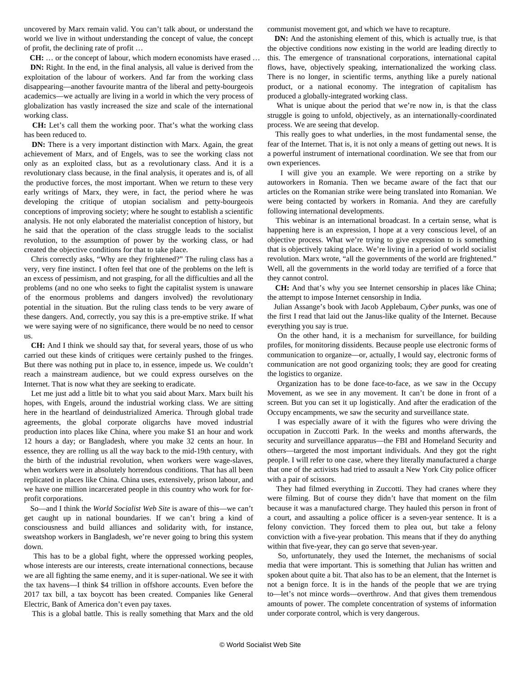uncovered by Marx remain valid. You can't talk about, or understand the world we live in without understanding the concept of value, the concept of profit, the declining rate of profit …

**CH:** … or the concept of labour, which modern economists have erased …

**DN:** Right. In the end, in the final analysis, all value is derived from the exploitation of the labour of workers. And far from the working class disappearing—another favourite mantra of the liberal and petty-bourgeois academics—we actually are living in a world in which the very process of globalization has vastly increased the size and scale of the international working class.

 **CH:** Let's call them the working poor. That's what the working class has been reduced to.

**DN:** There is a very important distinction with Marx. Again, the great achievement of Marx, and of Engels, was to see the working class not only as an exploited class, but as a revolutionary class. And it is a revolutionary class because, in the final analysis, it operates and is, of all the productive forces, the most important. When we return to these very early writings of Marx, they were, in fact, the period where he was developing the critique of utopian socialism and petty-bourgeois conceptions of improving society; where he sought to establish a scientific analysis. He not only elaborated the materialist conception of history, but he said that the operation of the class struggle leads to the socialist revolution, to the assumption of power by the working class, or had created the objective conditions for that to take place.

 Chris correctly asks, "Why are they frightened?" The ruling class has a very, very fine instinct. I often feel that one of the problems on the left is an excess of pessimism, and not grasping, for all the difficulties and all the problems (and no one who seeks to fight the capitalist system is unaware of the enormous problems and dangers involved) the revolutionary potential in the situation. But the ruling class tends to be very aware of these dangers. And, correctly, you say this is a pre-emptive strike. If what we were saying were of no significance, there would be no need to censor us.

 **CH:** And I think we should say that, for several years, those of us who carried out these kinds of critiques were certainly pushed to the fringes. But there was nothing put in place to, in essence, impede us. We couldn't reach a mainstream audience, but we could express ourselves on the Internet. That is now what they are seeking to eradicate.

 Let me just add a little bit to what you said about Marx. Marx built his hopes, with Engels, around the industrial working class. We are sitting here in the heartland of deindustrialized America. Through global trade agreements, the global corporate oligarchs have moved industrial production into places like China, where you make \$1 an hour and work 12 hours a day; or Bangladesh, where you make 32 cents an hour. In essence, they are rolling us all the way back to the mid-19th century, with the birth of the industrial revolution, when workers were wage-slaves, when workers were in absolutely horrendous conditions. That has all been replicated in places like China. China uses, extensively, prison labour, and we have one million incarcerated people in this country who work for forprofit corporations.

 So—and I think the *World Socialist Web Site* is aware of this—we can't get caught up in national boundaries. If we can't bring a kind of consciousness and build alliances and solidarity with, for instance, sweatshop workers in Bangladesh, we're never going to bring this system down.

 This has to be a global fight, where the oppressed working peoples, whose interests are our interests, create international connections, because we are all fighting the same enemy, and it is super-national. We see it with the tax havens—I think \$4 trillion in offshore accounts. Even before the 2017 tax bill, a tax boycott has been created. Companies like General Electric, Bank of America don't even pay taxes.

This is a global battle. This is really something that Marx and the old

communist movement got, and which we have to recapture.

 **DN:** And the astonishing element of this, which is actually true, is that the objective conditions now existing in the world are leading directly to this. The emergence of transnational corporations, international capital flows, have, objectively speaking, internationalized the working class. There is no longer, in scientific terms, anything like a purely national product, or a national economy. The integration of capitalism has produced a globally-integrated working class.

 What is unique about the period that we're now in, is that the class struggle is going to unfold, objectively, as an internationally-coordinated process. We are seeing that develop.

 This really goes to what underlies, in the most fundamental sense, the fear of the Internet. That is, it is not only a means of getting out news. It is a powerful instrument of international coordination. We see that from our own experiences.

 I will give you an example. We were reporting on a strike by autoworkers in Romania. Then we became aware of the fact that our articles on the Romanian strike were being translated into Romanian. We were being contacted by workers in Romania. And they are carefully following international developments.

 This webinar is an international broadcast. In a certain sense, what is happening here is an expression, I hope at a very conscious level, of an objective process. What we're trying to give expression to is something that is objectively taking place. We're living in a period of world socialist revolution. Marx wrote, "all the governments of the world are frightened." Well, all the governments in the world today are terrified of a force that they cannot control.

 **CH:** And that's why you see Internet censorship in places like China; the attempt to impose Internet censorship in India.

 Julian Assange's book with Jacob Applebaum, *Cyber punks*, was one of the first I read that laid out the Janus-like quality of the Internet. Because everything you say is true.

 On the other hand, it is a mechanism for surveillance, for building profiles, for monitoring dissidents. Because people use electronic forms of communication to organize—or, actually, I would say, electronic forms of communication are not good organizing tools; they are good for creating the logistics to organize.

 Organization has to be done face-to-face, as we saw in the Occupy Movement, as we see in any movement. It can't be done in front of a screen. But you can set it up logistically. And after the eradication of the Occupy encampments, we saw the security and surveillance state.

 I was especially aware of it with the figures who were driving the occupation in Zuccotti Park. In the weeks and months afterwards, the security and surveillance apparatus—the FBI and Homeland Security and others—targeted the most important individuals. And they got the right people. I will refer to one case, where they literally manufactured a charge that one of the activists had tried to assault a New York City police officer with a pair of scissors.

 They had filmed everything in Zuccotti. They had cranes where they were filming. But of course they didn't have that moment on the film because it was a manufactured charge. They hauled this person in front of a court, and assaulting a police officer is a seven-year sentence. It is a felony conviction. They forced them to plea out, but take a felony conviction with a five-year probation. This means that if they do anything within that five-year, they can go serve that seven-year.

 So, unfortunately, they used the Internet, the mechanisms of social media that were important. This is something that Julian has written and spoken about quite a bit. That also has to be an element, that the Internet is not a benign force. It is in the hands of the people that we are trying to—let's not mince words—overthrow. And that gives them tremendous amounts of power. The complete concentration of systems of information under corporate control, which is very dangerous.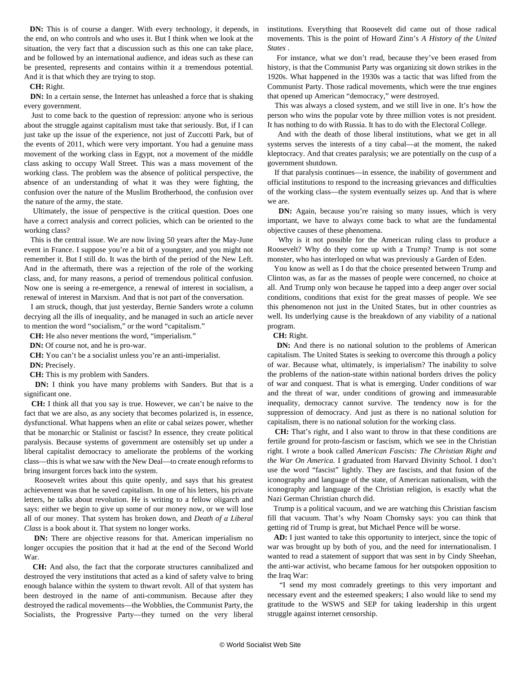**DN:** This is of course a danger. With every technology, it depends, in the end, on who controls and who uses it. But I think when we look at the situation, the very fact that a discussion such as this one can take place, and be followed by an international audience, and ideas such as these can be presented, represents and contains within it a tremendous potential. And it is that which they are trying to stop.

**CH:** Right.

**DN:** In a certain sense, the Internet has unleashed a force that is shaking every government.

 Just to come back to the question of repression: anyone who is serious about the struggle against capitalism must take that seriously. But, if I can just take up the issue of the experience, not just of Zuccotti Park, but of the events of 2011, which were very important. You had a genuine mass movement of the working class in Egypt, not a movement of the middle class asking to occupy Wall Street. This was a mass movement of the working class. The problem was the absence of political perspective, the absence of an understanding of what it was they were fighting, the confusion over the nature of the Muslim Brotherhood, the confusion over the nature of the army, the state.

 Ultimately, the issue of perspective is the critical question. Does one have a correct analysis and correct policies, which can be oriented to the working class?

 This is the central issue. We are now living 50 years after the May-June event in France. I suppose you're a bit of a youngster, and you might not remember it. But I still do. It was the birth of the period of the New Left. And in the aftermath, there was a rejection of the role of the working class, and, for many reasons, a period of tremendous political confusion. Now one is seeing a re-emergence, a renewal of interest in socialism, a renewal of interest in Marxism. And that is not part of the conversation.

 I am struck, though, that just yesterday, Bernie Sanders wrote a column decrying all the ills of inequality, and he managed in such an article never to mention the word "socialism," or the word "capitalism."

**CH:** He also never mentions the word, "imperialism."

**DN:** Of course not, and he is pro-war.

**CH:** You can't be a socialist unless you're an anti-imperialist.

**DN:** Precisely.

**CH:** This is my problem with Sanders.

 **DN:** I think you have many problems with Sanders. But that is a significant one.

 **CH:** I think all that you say is true. However, we can't be naive to the fact that we are also, as any society that becomes polarized is, in essence, dysfunctional. What happens when an elite or cabal seizes power, whether that be monarchic or Stalinist or fascist? In essence, they create political paralysis. Because systems of government are ostensibly set up under a liberal capitalist democracy to ameliorate the problems of the working class—this is what we saw with the New Deal—to create enough reforms to bring insurgent forces back into the system.

 Roosevelt writes about this quite openly, and says that his greatest achievement was that he saved capitalism. In one of his letters, his private letters, he talks about revolution. He is writing to a fellow oligarch and says: either we begin to give up some of our money now, or we will lose all of our money. That system has broken down, and *Death of a Liberal Class* is a book about it. That system no longer works.

**DN:** There are objective reasons for that. American imperialism no longer occupies the position that it had at the end of the Second World War.

 **CH:** And also, the fact that the corporate structures cannibalized and destroyed the very institutions that acted as a kind of safety valve to bring enough balance within the system to thwart revolt. All of that system has been destroyed in the name of anti-communism. Because after they destroyed the radical movements—the Wobblies, the Communist Party, the Socialists, the Progressive Party—they turned on the very liberal

institutions. Everything that Roosevelt did came out of those radical movements. This is the point of Howard Zinn's *A History of the United States* .

 For instance, what we don't read, because they've been erased from history, is that the Communist Party was organizing sit down strikes in the 1920s. What happened in the 1930s was a tactic that was lifted from the Communist Party. Those radical movements, which were the true engines that opened up American "democracy," were destroyed.

 This was always a closed system, and we still live in one. It's how the person who wins the popular vote by three million votes is not president. It has nothing to do with Russia. It has to do with the Electoral College.

 And with the death of those liberal institutions, what we get in all systems serves the interests of a tiny cabal—at the moment, the naked kleptocracy. And that creates paralysis; we are potentially on the cusp of a government shutdown.

 If that paralysis continues—in essence, the inability of government and official institutions to respond to the increasing grievances and difficulties of the working class—the system eventually seizes up. And that is where we are.

**DN:** Again, because you're raising so many issues, which is very important, we have to always come back to what are the fundamental objective causes of these phenomena.

 Why is it not possible for the American ruling class to produce a Roosevelt? Why do they come up with a Trump? Trump is not some monster, who has interloped on what was previously a Garden of Eden.

 You know as well as I do that the choice presented between Trump and Clinton was, as far as the masses of people were concerned, no choice at all. And Trump only won because he tapped into a deep anger over social conditions, conditions that exist for the great masses of people. We see this phenomenon not just in the United States, but in other countries as well. Its underlying cause is the breakdown of any viability of a national program.

**CH:** Right.

 **DN:** And there is no national solution to the problems of American capitalism. The United States is seeking to overcome this through a policy of war. Because what, ultimately, is imperialism? The inability to solve the problems of the nation-state within national borders drives the policy of war and conquest. That is what is emerging. Under conditions of war and the threat of war, under conditions of growing and immeasurable inequality, democracy cannot survive. The tendency now is for the suppression of democracy. And just as there is no national solution for capitalism, there is no national solution for the working class.

 **CH:** That's right, and I also want to throw in that these conditions are fertile ground for proto-fascism or fascism, which we see in the Christian right. I wrote a book called *American Fascists: The Christian Right and the War On America.* I graduated from Harvard Divinity School. I don't use the word "fascist" lightly. They are fascists, and that fusion of the iconography and language of the state, of American nationalism, with the iconography and language of the Christian religion, is exactly what the Nazi German Christian church did.

 Trump is a political vacuum, and we are watching this Christian fascism fill that vacuum. That's why Noam Chomsky says: you can think that getting rid of Trump is great, but Michael Pence will be worse.

 **AD:** I just wanted to take this opportunity to interject, since the topic of war was brought up by both of you, and the need for internationalism. I wanted to read a statement of support that was sent in by Cindy Sheehan, the anti-war activist, who became famous for her outspoken opposition to the Iraq War:

 "I send my most comradely greetings to this very important and necessary event and the esteemed speakers; I also would like to send my gratitude to the WSWS and SEP for taking leadership in this urgent struggle against internet censorship.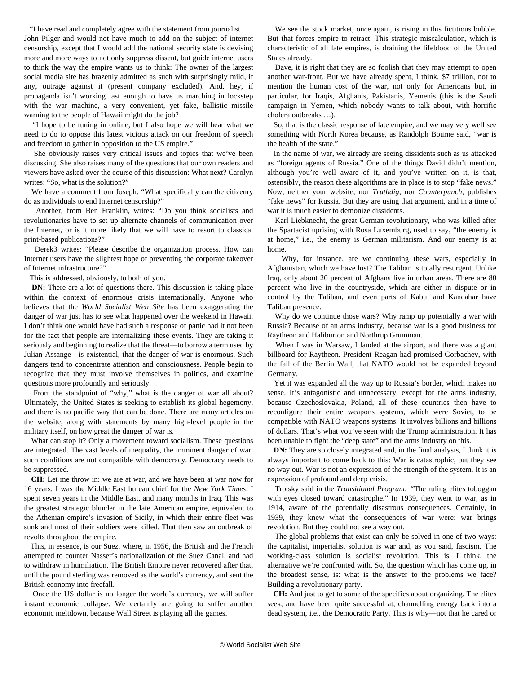"I have read and completely agree with the statement from journalist John Pilger and would not have much to add on the subject of internet censorship, except that I would add the national security state is devising more and more ways to not only suppress dissent, but guide internet users to think the way the empire wants us to think: The owner of the largest social media site has brazenly admitted as such with surprisingly mild, if any, outrage against it (present company excluded). And, hey, if propaganda isn't working fast enough to have us marching in lockstep with the war machine, a very convenient, yet fake, ballistic missile warning to the people of Hawaii might do the job?

 "I hope to be tuning in online, but I also hope we will hear what we need to do to oppose this latest vicious attack on our freedom of speech and freedom to gather in opposition to the US empire."

 She obviously raises very critical issues and topics that we've been discussing. She also raises many of the questions that our own readers and viewers have asked over the course of this discussion: What next? Carolyn writes: "So, what is the solution?"

 We have a comment from Joseph: "What specifically can the citizenry do as individuals to end Internet censorship?"

 Another, from Ben Franklin, writes: "Do you think socialists and revolutionaries have to set up alternate channels of communication over the Internet, or is it more likely that we will have to resort to classical print-based publications?"

 Derek3 writes: "Please describe the organization process. How can Internet users have the slightest hope of preventing the corporate takeover of Internet infrastructure?"

This is addressed, obviously, to both of you.

 **DN:** There are a lot of questions there. This discussion is taking place within the context of enormous crisis internationally. Anyone who believes that the *World Socialist Web Site* has been exaggerating the danger of war just has to see what happened over the weekend in Hawaii. I don't think one would have had such a response of panic had it not been for the fact that people are internalizing these events. They are taking it seriously and beginning to realize that the threat—to borrow a term used by Julian Assange—is existential, that the danger of war is enormous. Such dangers tend to concentrate attention and consciousness. People begin to recognize that they must involve themselves in politics, and examine questions more profoundly and seriously.

 From the standpoint of "why," what is the danger of war all about? Ultimately, the United States is seeking to establish its global hegemony, and there is no pacific way that can be done. There are many articles on the website, along with statements by many high-level people in the military itself, on how great the danger of war is.

 What can stop it? Only a movement toward socialism. These questions are integrated. The vast levels of inequality, the imminent danger of war: such conditions are not compatible with democracy. Democracy needs to be suppressed.

 **CH:** Let me throw in: we are at war, and we have been at war now for 16 years. I was the Middle East bureau chief for the *New York Times*. I spent seven years in the Middle East, and many months in Iraq. This was the greatest strategic blunder in the late American empire, equivalent to the Athenian empire's invasion of Sicily, in which their entire fleet was sunk and most of their soldiers were killed. That then saw an outbreak of revolts throughout the empire.

 This, in essence, is our Suez, where, in 1956, the British and the French attempted to counter Nasser's nationalization of the Suez Canal, and had to withdraw in humiliation. The British Empire never recovered after that, until the pound sterling was removed as the world's currency, and sent the British economy into freefall.

 Once the US dollar is no longer the world's currency, we will suffer instant economic collapse. We certainly are going to suffer another economic meltdown, because Wall Street is playing all the games.

 We see the stock market, once again, is rising in this fictitious bubble. But that forces empire to retract. This strategic miscalculation, which is characteristic of all late empires, is draining the lifeblood of the United States already.

 Dave, it is right that they are so foolish that they may attempt to open another war-front. But we have already spent, I think, \$7 trillion, not to mention the human cost of the war, not only for Americans but, in particular, for Iraqis, Afghanis, Pakistanis, Yemenis (this is the Saudi campaign in Yemen, which nobody wants to talk about, with horrific cholera outbreaks …).

 So, that is the classic response of late empire, and we may very well see something with North Korea because, as Randolph Bourne said, "war is the health of the state."

 In the name of war, we already are seeing dissidents such as us attacked as "foreign agents of Russia." One of the things David didn't mention, although you're well aware of it, and you've written on it, is that, ostensibly, the reason these algorithms are in place is to stop "fake news." Now, neither your website, nor *Truthdig*, nor *Counterpunch*, publishes "fake news" for Russia. But they are using that argument, and in a time of war it is much easier to demonize dissidents.

 Karl Liebknecht, the great German revolutionary, who was killed after the Spartacist uprising with Rosa Luxemburg, used to say, "the enemy is at home," i.e., the enemy is German militarism. And our enemy is at home.

 Why, for instance, are we continuing these wars, especially in Afghanistan, which we have lost? The Taliban is totally resurgent. Unlike Iraq, only about 20 percent of Afghans live in urban areas. There are 80 percent who live in the countryside, which are either in dispute or in control by the Taliban, and even parts of Kabul and Kandahar have Taliban presence.

 Why do we continue those wars? Why ramp up potentially a war with Russia? Because of an arms industry, because war is a good business for Raytheon and Haliburton and Northrup Grumman.

 When I was in Warsaw, I landed at the airport, and there was a giant billboard for Raytheon. President Reagan had promised Gorbachev, with the fall of the Berlin Wall, that NATO would not be expanded beyond Germany.

 Yet it was expanded all the way up to Russia's border, which makes no sense. It's antagonistic and unnecessary, except for the arms industry, because Czechoslovakia, Poland, all of these countries then have to reconfigure their entire weapons systems, which were Soviet, to be compatible with NATO weapons systems. It involves billions and billions of dollars. That's what you've seen with the Trump administration. It has been unable to fight the "deep state" and the arms industry on this.

**DN:** They are so closely integrated and, in the final analysis, I think it is always important to come back to this: War is catastrophic, but they see no way out. War is not an expression of the strength of the system. It is an expression of profound and deep crisis.

 Trotsky said in the *Transitional Program: "*The ruling elites toboggan with eyes closed toward catastrophe." In 1939, they went to war, as in 1914, aware of the potentially disastrous consequences. Certainly, in 1939, they knew what the consequences of war were: war brings revolution. But they could not see a way out.

 The global problems that exist can only be solved in one of two ways: the capitalist, imperialist solution is war and, as you said, fascism. The working-class solution is socialist revolution. This is, I think, the alternative we're confronted with. So, the question which has come up, in the broadest sense, is: what is the answer to the problems we face? Building a revolutionary party.

 **CH:** And just to get to some of the specifics about organizing. The elites seek, and have been quite successful at, channelling energy back into a dead system, i.e., the Democratic Party. This is why—not that he cared or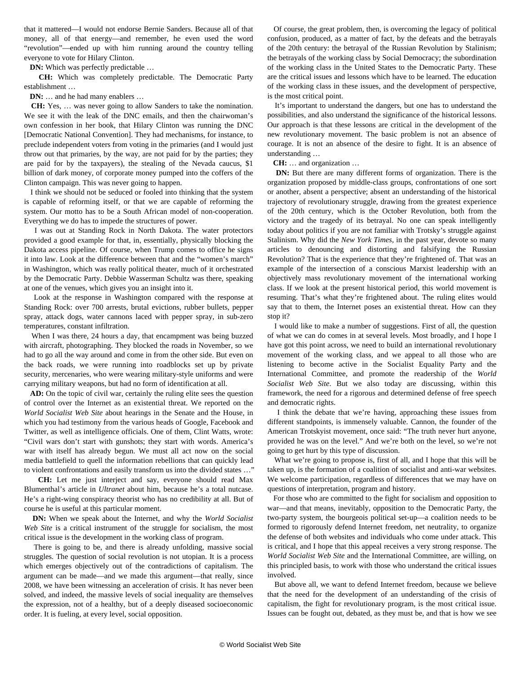that it mattered—I would not endorse Bernie Sanders. Because all of that money, all of that energy—and remember, he even used the word "revolution"—ended up with him running around the country telling everyone to vote for Hilary Clinton.

**DN:** Which was perfectly predictable ...

 **CH:** Which was completely predictable. The Democratic Party establishment …

**DN:** … and he had many enablers …

 **CH:** Yes, … was never going to allow Sanders to take the nomination. We see it with the leak of the DNC emails, and then the chairwoman's own confession in her book, that Hilary Clinton was running the DNC [Democratic National Convention]. They had mechanisms, for instance, to preclude independent voters from voting in the primaries (and I would just throw out that primaries, by the way, are not paid for by the parties; they are paid for by the taxpayers), the stealing of the Nevada caucus, \$1 billion of dark money, of corporate money pumped into the coffers of the Clinton campaign. This was never going to happen.

 I think we should not be seduced or fooled into thinking that the system is capable of reforming itself, or that we are capable of reforming the system. Our motto has to be a South African model of non-cooperation. Everything we do has to impede the structures of power.

 I was out at Standing Rock in North Dakota. The water protectors provided a good example for that, in, essentially, physically blocking the Dakota access pipeline. Of course, when Trump comes to office he signs it into law. Look at the difference between that and the "women's march" in Washington, which was really political theater, much of it orchestrated by the Democratic Party. Debbie Wasserman Schultz was there, speaking at one of the venues, which gives you an insight into it.

 Look at the response in Washington compared with the response at Standing Rock: over 700 arrests, brutal evictions, rubber bullets, pepper spray, attack dogs, water cannons laced with pepper spray, in sub-zero temperatures, constant infiltration.

 When I was there, 24 hours a day, that encampment was being buzzed with aircraft, photographing. They blocked the roads in November, so we had to go all the way around and come in from the other side. But even on the back roads, we were running into roadblocks set up by private security, mercenaries, who were wearing military-style uniforms and were carrying military weapons, but had no form of identification at all.

 **AD:** On the topic of civil war, certainly the ruling elite sees the question of control over the Internet as an existential threat. We reported on the *World Socialist Web Site* about hearings in the Senate and the House, in which you had testimony from the various heads of Google, Facebook and Twitter, as well as intelligence officials. One of them, Clint Watts, wrote: "Civil wars don't start with gunshots; they start with words. America's war with itself has already begun. We must all act now on the social media battlefield to quell the information rebellions that can quickly lead to violent confrontations and easily transform us into the divided states …"

 **CH:** Let me just interject and say, everyone should read Max Blumenthal's article in *Ultranet* about him, because he's a total nutcase. He's a right-wing conspiracy theorist who has no credibility at all. But of course he is useful at this particular moment.

 **DN:** When we speak about the Internet, and why the *World Socialist Web Site* is a critical instrument of the struggle for socialism, the most critical issue is the development in the working class of program.

 There is going to be, and there is already unfolding, massive social struggles. The question of social revolution is not utopian. It is a process which emerges objectively out of the contradictions of capitalism. The argument can be made—and we made this argument—that really, since 2008, we have been witnessing an acceleration of crisis. It has never been solved, and indeed, the massive levels of social inequality are themselves the expression, not of a healthy, but of a deeply diseased socioeconomic order. It is fueling, at every level, social opposition.

 Of course, the great problem, then, is overcoming the legacy of political confusion, produced, as a matter of fact, by the defeats and the betrayals of the 20th century: the betrayal of the Russian Revolution by Stalinism; the betrayals of the working class by Social Democracy; the subordination of the working class in the United States to the Democratic Party. These are the critical issues and lessons which have to be learned. The education of the working class in these issues, and the development of perspective, is the most critical point.

 It's important to understand the dangers, but one has to understand the possibilities, and also understand the significance of the historical lessons. Our approach is that these lessons are critical in the development of the new revolutionary movement. The basic problem is not an absence of courage. It is not an absence of the desire to fight. It is an absence of understanding …

**CH:** … and organization …

 **DN:** But there are many different forms of organization. There is the organization proposed by middle-class groups, confrontations of one sort or another, absent a perspective; absent an understanding of the historical trajectory of revolutionary struggle, drawing from the greatest experience of the 20th century, which is the October Revolution, both from the victory and the tragedy of its betrayal. No one can speak intelligently today about politics if you are not familiar with Trotsky's struggle against Stalinism. Why did the *New York Times*, in the past year, devote so many articles to denouncing and distorting and falsifying the Russian Revolution? That is the experience that they're frightened of. That was an example of the intersection of a conscious Marxist leadership with an objectively mass revolutionary movement of the international working class. If we look at the present historical period, this world movement is resuming. That's what they're frightened about. The ruling elites would say that to them, the Internet poses an existential threat. How can they stop it?

 I would like to make a number of suggestions. First of all, the question of what we can do comes in at several levels. Most broadly, and I hope I have got this point across, we need to build an international revolutionary movement of the working class, and we appeal to all those who are listening to become active in the Socialist Equality Party and the International Committee, and promote the readership of the *World Socialist Web Site*. But we also today are discussing, within this framework, the need for a rigorous and determined defense of free speech and democratic rights.

 I think the debate that we're having, approaching these issues from different standpoints, is immensely valuable. Cannon, the founder of the American Trotskyist movement, once said: "The truth never hurt anyone, provided he was on the level." And we're both on the level, so we're not going to get hurt by this type of discussion.

What we're going to propose is, first of all, and I hope that this will be taken up, is the formation of a coalition of socialist and anti-war websites. We welcome participation, regardless of differences that we may have on questions of interpretation, program and history.

 For those who are committed to the fight for socialism and opposition to war—and that means, inevitably, opposition to the Democratic Party, the two-party system, the bourgeois political set-up—a coalition needs to be formed to rigorously defend Internet freedom, net neutrality, to organize the defense of both websites and individuals who come under attack. This is critical, and I hope that this appeal receives a very strong response. The *World Socialist Web Site* and the International Committee, are willing, on this principled basis, to work with those who understand the critical issues involved.

 But above all, we want to defend Internet freedom, because we believe that the need for the development of an understanding of the crisis of capitalism, the fight for revolutionary program, is the most critical issue. Issues can be fought out, debated, as they must be, and that is how we see